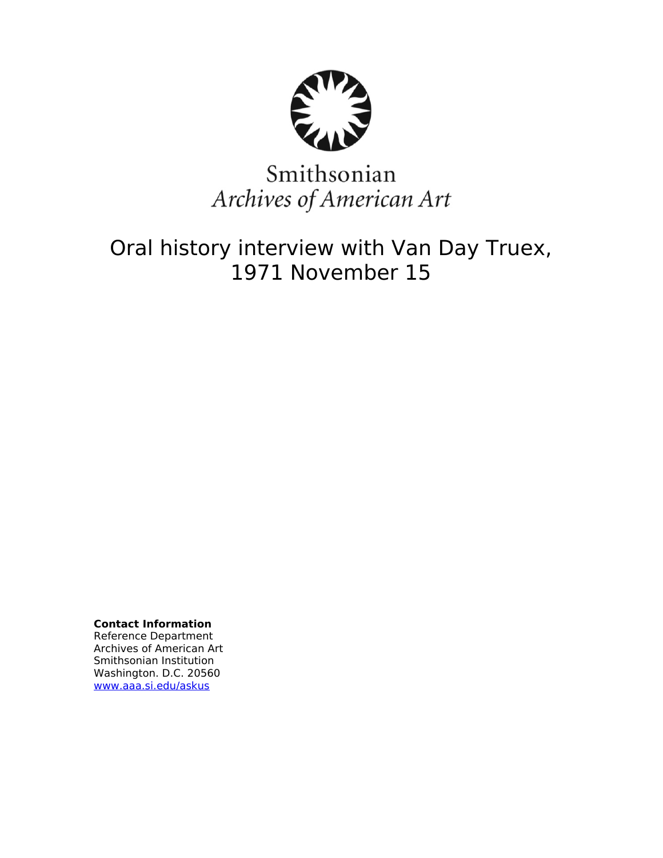

# Smithsonian Archives of American Art

## Oral history interview with Van Day Truex, 1971 November 15

**Contact Information** Reference Department Archives of American Art Smithsonian Institution Washington. D.C. 20560 [www.aaa.si.edu/askus](http://www.aaa.si.edu/askus)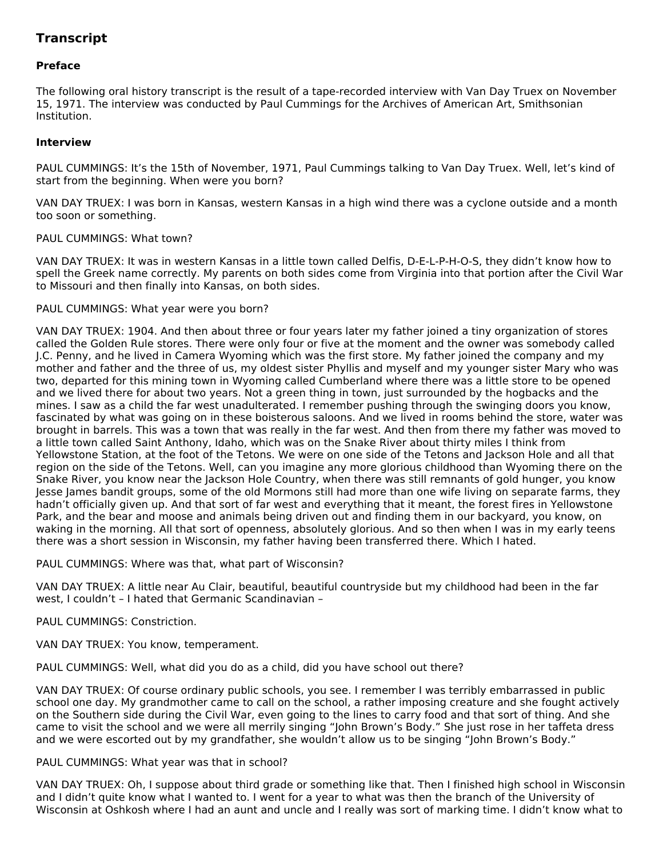### **Transcript**

#### **Preface**

The following oral history transcript is the result of a tape-recorded interview with Van Day Truex on November 15, 1971. The interview was conducted by Paul Cummings for the Archives of American Art, Smithsonian Institution.

#### **Interview**

PAUL CUMMINGS: It's the 15th of November, 1971, Paul Cummings talking to Van Day Truex. Well, let's kind of start from the beginning. When were you born?

VAN DAY TRUEX: I was born in Kansas, western Kansas in a high wind there was a cyclone outside and a month too soon or something.

#### PAUL CUMMINGS: What town?

VAN DAY TRUEX: It was in western Kansas in a little town called Delfis, D-E-L-P-H-O-S, they didn't know how to spell the Greek name correctly. My parents on both sides come from Virginia into that portion after the Civil War to Missouri and then finally into Kansas, on both sides.

#### PAUL CUMMINGS: What year were you born?

VAN DAY TRUEX: 1904. And then about three or four years later my father joined a tiny organization of stores called the Golden Rule stores. There were only four or five at the moment and the owner was somebody called J.C. Penny, and he lived in Camera Wyoming which was the first store. My father joined the company and my mother and father and the three of us, my oldest sister Phyllis and myself and my younger sister Mary who was two, departed for this mining town in Wyoming called Cumberland where there was a little store to be opened and we lived there for about two years. Not a green thing in town, just surrounded by the hogbacks and the mines. I saw as a child the far west unadulterated. I remember pushing through the swinging doors you know, fascinated by what was going on in these boisterous saloons. And we lived in rooms behind the store, water was brought in barrels. This was a town that was really in the far west. And then from there my father was moved to a little town called Saint Anthony, Idaho, which was on the Snake River about thirty miles I think from Yellowstone Station, at the foot of the Tetons. We were on one side of the Tetons and Jackson Hole and all that region on the side of the Tetons. Well, can you imagine any more glorious childhood than Wyoming there on the Snake River, you know near the Jackson Hole Country, when there was still remnants of gold hunger, you know Jesse James bandit groups, some of the old Mormons still had more than one wife living on separate farms, they hadn't officially given up. And that sort of far west and everything that it meant, the forest fires in Yellowstone Park, and the bear and moose and animals being driven out and finding them in our backyard, you know, on waking in the morning. All that sort of openness, absolutely glorious. And so then when I was in my early teens there was a short session in Wisconsin, my father having been transferred there. Which I hated.

#### PAUL CUMMINGS: Where was that, what part of Wisconsin?

VAN DAY TRUEX: A little near Au Clair, beautiful, beautiful countryside but my childhood had been in the far west, I couldn't – I hated that Germanic Scandinavian –

#### PAUL CUMMINGS: Constriction.

VAN DAY TRUEX: You know, temperament.

PAUL CUMMINGS: Well, what did you do as a child, did you have school out there?

VAN DAY TRUEX: Of course ordinary public schools, you see. I remember I was terribly embarrassed in public school one day. My grandmother came to call on the school, a rather imposing creature and she fought actively on the Southern side during the Civil War, even going to the lines to carry food and that sort of thing. And she came to visit the school and we were all merrily singing "John Brown's Body." She just rose in her taffeta dress and we were escorted out by my grandfather, she wouldn't allow us to be singing "John Brown's Body."

#### PAUL CUMMINGS: What year was that in school?

VAN DAY TRUEX: Oh, I suppose about third grade or something like that. Then I finished high school in Wisconsin and I didn't quite know what I wanted to. I went for a year to what was then the branch of the University of Wisconsin at Oshkosh where I had an aunt and uncle and I really was sort of marking time. I didn't know what to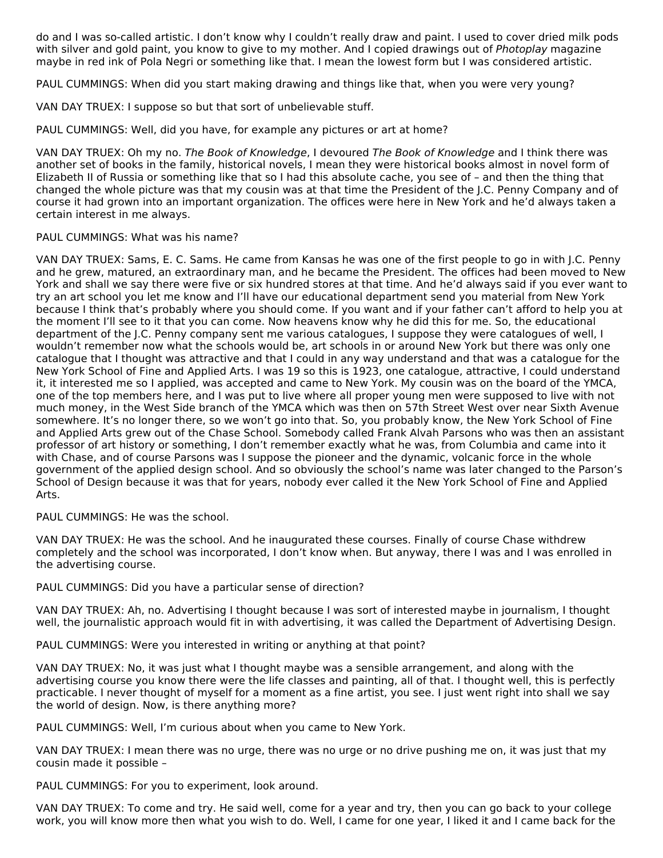do and I was so-called artistic. I don't know why I couldn't really draw and paint. I used to cover dried milk pods with silver and gold paint, you know to give to my mother. And I copied drawings out of Photoplay magazine maybe in red ink of Pola Negri or something like that. I mean the lowest form but I was considered artistic.

PAUL CUMMINGS: When did you start making drawing and things like that, when you were very young?

VAN DAY TRUEX: I suppose so but that sort of unbelievable stuff.

PAUL CUMMINGS: Well, did you have, for example any pictures or art at home?

VAN DAY TRUEX: Oh my no. The Book of Knowledge, I devoured The Book of Knowledge and I think there was another set of books in the family, historical novels, I mean they were historical books almost in novel form of Elizabeth II of Russia or something like that so I had this absolute cache, you see of – and then the thing that changed the whole picture was that my cousin was at that time the President of the J.C. Penny Company and of course it had grown into an important organization. The offices were here in New York and he'd always taken a certain interest in me always.

#### PAUL CUMMINGS: What was his name?

VAN DAY TRUEX: Sams, E. C. Sams. He came from Kansas he was one of the first people to go in with J.C. Penny and he grew, matured, an extraordinary man, and he became the President. The offices had been moved to New York and shall we say there were five or six hundred stores at that time. And he'd always said if you ever want to try an art school you let me know and I'll have our educational department send you material from New York because I think that's probably where you should come. If you want and if your father can't afford to help you at the moment I'll see to it that you can come. Now heavens know why he did this for me. So, the educational department of the J.C. Penny company sent me various catalogues, I suppose they were catalogues of well, I wouldn't remember now what the schools would be, art schools in or around New York but there was only one catalogue that I thought was attractive and that I could in any way understand and that was a catalogue for the New York School of Fine and Applied Arts. I was 19 so this is 1923, one catalogue, attractive, I could understand it, it interested me so I applied, was accepted and came to New York. My cousin was on the board of the YMCA, one of the top members here, and I was put to live where all proper young men were supposed to live with not much money, in the West Side branch of the YMCA which was then on 57th Street West over near Sixth Avenue somewhere. It's no longer there, so we won't go into that. So, you probably know, the New York School of Fine and Applied Arts grew out of the Chase School. Somebody called Frank Alvah Parsons who was then an assistant professor of art history or something, I don't remember exactly what he was, from Columbia and came into it with Chase, and of course Parsons was I suppose the pioneer and the dynamic, volcanic force in the whole government of the applied design school. And so obviously the school's name was later changed to the Parson's School of Design because it was that for years, nobody ever called it the New York School of Fine and Applied Arts.

PAUL CUMMINGS: He was the school.

VAN DAY TRUEX: He was the school. And he inaugurated these courses. Finally of course Chase withdrew completely and the school was incorporated, I don't know when. But anyway, there I was and I was enrolled in the advertising course.

PAUL CUMMINGS: Did you have a particular sense of direction?

VAN DAY TRUEX: Ah, no. Advertising I thought because I was sort of interested maybe in journalism, I thought well, the journalistic approach would fit in with advertising, it was called the Department of Advertising Design.

PAUL CUMMINGS: Were you interested in writing or anything at that point?

VAN DAY TRUEX: No, it was just what I thought maybe was a sensible arrangement, and along with the advertising course you know there were the life classes and painting, all of that. I thought well, this is perfectly practicable. I never thought of myself for a moment as a fine artist, you see. I just went right into shall we say the world of design. Now, is there anything more?

PAUL CUMMINGS: Well, I'm curious about when you came to New York.

VAN DAY TRUEX: I mean there was no urge, there was no urge or no drive pushing me on, it was just that my cousin made it possible –

PAUL CUMMINGS: For you to experiment, look around.

VAN DAY TRUEX: To come and try. He said well, come for a year and try, then you can go back to your college work, you will know more then what you wish to do. Well, I came for one year, I liked it and I came back for the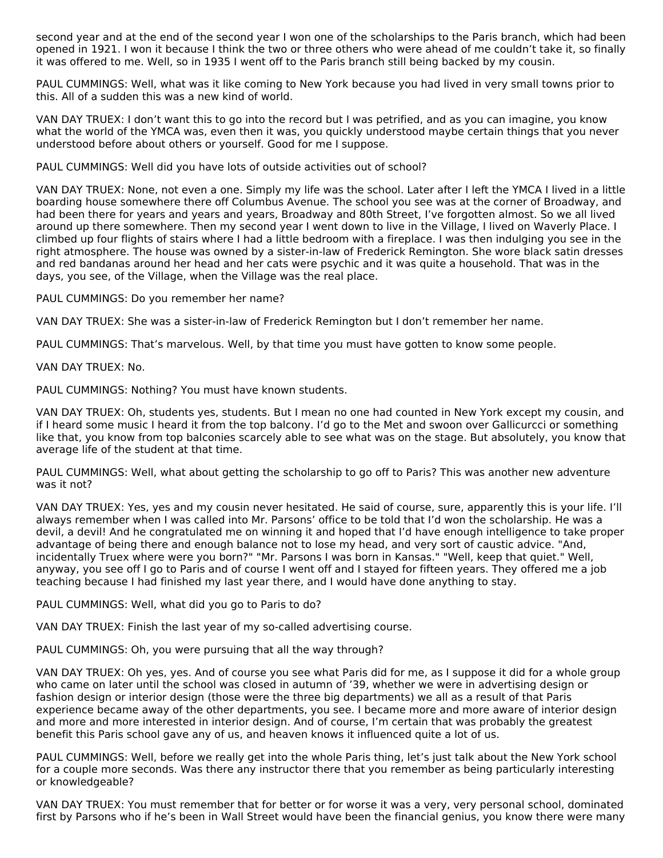second year and at the end of the second year I won one of the scholarships to the Paris branch, which had been opened in 1921. I won it because I think the two or three others who were ahead of me couldn't take it, so finally it was offered to me. Well, so in 1935 I went off to the Paris branch still being backed by my cousin.

PAUL CUMMINGS: Well, what was it like coming to New York because you had lived in very small towns prior to this. All of a sudden this was a new kind of world.

VAN DAY TRUEX: I don't want this to go into the record but I was petrified, and as you can imagine, you know what the world of the YMCA was, even then it was, you quickly understood maybe certain things that you never understood before about others or yourself. Good for me I suppose.

PAUL CUMMINGS: Well did you have lots of outside activities out of school?

VAN DAY TRUEX: None, not even a one. Simply my life was the school. Later after I left the YMCA I lived in a little boarding house somewhere there off Columbus Avenue. The school you see was at the corner of Broadway, and had been there for years and years and years, Broadway and 80th Street, I've forgotten almost. So we all lived around up there somewhere. Then my second year I went down to live in the Village, I lived on Waverly Place. I climbed up four flights of stairs where I had a little bedroom with a fireplace. I was then indulging you see in the right atmosphere. The house was owned by a sister-in-law of Frederick Remington. She wore black satin dresses and red bandanas around her head and her cats were psychic and it was quite a household. That was in the days, you see, of the Village, when the Village was the real place.

PAUL CUMMINGS: Do you remember her name?

VAN DAY TRUEX: She was a sister-in-law of Frederick Remington but I don't remember her name.

PAUL CUMMINGS: That's marvelous. Well, by that time you must have gotten to know some people.

VAN DAY TRUEX: No.

PAUL CUMMINGS: Nothing? You must have known students.

VAN DAY TRUEX: Oh, students yes, students. But I mean no one had counted in New York except my cousin, and if I heard some music I heard it from the top balcony. I'd go to the Met and swoon over Gallicurcci or something like that, you know from top balconies scarcely able to see what was on the stage. But absolutely, you know that average life of the student at that time.

PAUL CUMMINGS: Well, what about getting the scholarship to go off to Paris? This was another new adventure was it not?

VAN DAY TRUEX: Yes, yes and my cousin never hesitated. He said of course, sure, apparently this is your life. I'll always remember when I was called into Mr. Parsons' office to be told that I'd won the scholarship. He was a devil, a devil! And he congratulated me on winning it and hoped that I'd have enough intelligence to take proper advantage of being there and enough balance not to lose my head, and very sort of caustic advice. "And, incidentally Truex where were you born?" "Mr. Parsons I was born in Kansas." "Well, keep that quiet." Well, anyway, you see off I go to Paris and of course I went off and I stayed for fifteen years. They offered me a job teaching because I had finished my last year there, and I would have done anything to stay.

PAUL CUMMINGS: Well, what did you go to Paris to do?

VAN DAY TRUEX: Finish the last year of my so-called advertising course.

PAUL CUMMINGS: Oh, you were pursuing that all the way through?

VAN DAY TRUEX: Oh yes, yes. And of course you see what Paris did for me, as I suppose it did for a whole group who came on later until the school was closed in autumn of '39, whether we were in advertising design or fashion design or interior design (those were the three big departments) we all as a result of that Paris experience became away of the other departments, you see. I became more and more aware of interior design and more and more interested in interior design. And of course, I'm certain that was probably the greatest benefit this Paris school gave any of us, and heaven knows it influenced quite a lot of us.

PAUL CUMMINGS: Well, before we really get into the whole Paris thing, let's just talk about the New York school for a couple more seconds. Was there any instructor there that you remember as being particularly interesting or knowledgeable?

VAN DAY TRUEX: You must remember that for better or for worse it was a very, very personal school, dominated first by Parsons who if he's been in Wall Street would have been the financial genius, you know there were many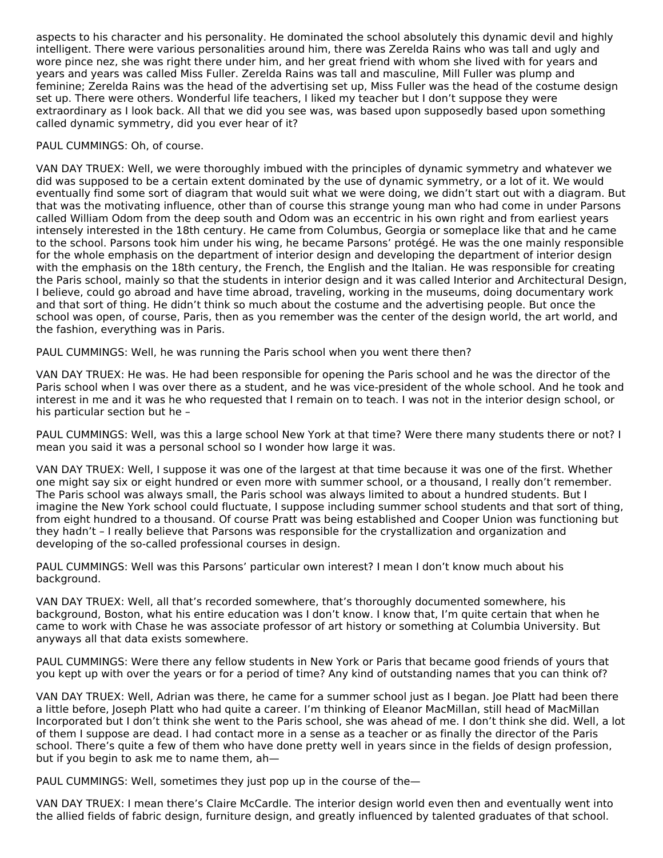aspects to his character and his personality. He dominated the school absolutely this dynamic devil and highly intelligent. There were various personalities around him, there was Zerelda Rains who was tall and ugly and wore pince nez, she was right there under him, and her great friend with whom she lived with for years and years and years was called Miss Fuller. Zerelda Rains was tall and masculine, Mill Fuller was plump and feminine; Zerelda Rains was the head of the advertising set up, Miss Fuller was the head of the costume design set up. There were others. Wonderful life teachers, I liked my teacher but I don't suppose they were extraordinary as I look back. All that we did you see was, was based upon supposedly based upon something called dynamic symmetry, did you ever hear of it?

#### PAUL CUMMINGS: Oh, of course.

VAN DAY TRUEX: Well, we were thoroughly imbued with the principles of dynamic symmetry and whatever we did was supposed to be a certain extent dominated by the use of dynamic symmetry, or a lot of it. We would eventually find some sort of diagram that would suit what we were doing, we didn't start out with a diagram. But that was the motivating influence, other than of course this strange young man who had come in under Parsons called William Odom from the deep south and Odom was an eccentric in his own right and from earliest years intensely interested in the 18th century. He came from Columbus, Georgia or someplace like that and he came to the school. Parsons took him under his wing, he became Parsons' protégé. He was the one mainly responsible for the whole emphasis on the department of interior design and developing the department of interior design with the emphasis on the 18th century, the French, the English and the Italian. He was responsible for creating the Paris school, mainly so that the students in interior design and it was called Interior and Architectural Design, I believe, could go abroad and have time abroad, traveling, working in the museums, doing documentary work and that sort of thing. He didn't think so much about the costume and the advertising people. But once the school was open, of course, Paris, then as you remember was the center of the design world, the art world, and the fashion, everything was in Paris.

PAUL CUMMINGS: Well, he was running the Paris school when you went there then?

VAN DAY TRUEX: He was. He had been responsible for opening the Paris school and he was the director of the Paris school when I was over there as a student, and he was vice-president of the whole school. And he took and interest in me and it was he who requested that I remain on to teach. I was not in the interior design school, or his particular section but he –

PAUL CUMMINGS: Well, was this a large school New York at that time? Were there many students there or not? I mean you said it was a personal school so I wonder how large it was.

VAN DAY TRUEX: Well, I suppose it was one of the largest at that time because it was one of the first. Whether one might say six or eight hundred or even more with summer school, or a thousand, I really don't remember. The Paris school was always small, the Paris school was always limited to about a hundred students. But I imagine the New York school could fluctuate, I suppose including summer school students and that sort of thing, from eight hundred to a thousand. Of course Pratt was being established and Cooper Union was functioning but they hadn't – I really believe that Parsons was responsible for the crystallization and organization and developing of the so-called professional courses in design.

PAUL CUMMINGS: Well was this Parsons' particular own interest? I mean I don't know much about his background.

VAN DAY TRUEX: Well, all that's recorded somewhere, that's thoroughly documented somewhere, his background, Boston, what his entire education was I don't know. I know that, I'm quite certain that when he came to work with Chase he was associate professor of art history or something at Columbia University. But anyways all that data exists somewhere.

PAUL CUMMINGS: Were there any fellow students in New York or Paris that became good friends of yours that you kept up with over the years or for a period of time? Any kind of outstanding names that you can think of?

VAN DAY TRUEX: Well, Adrian was there, he came for a summer school just as I began. Joe Platt had been there a little before, Joseph Platt who had quite a career. I'm thinking of Eleanor MacMillan, still head of MacMillan Incorporated but I don't think she went to the Paris school, she was ahead of me. I don't think she did. Well, a lot of them I suppose are dead. I had contact more in a sense as a teacher or as finally the director of the Paris school. There's quite a few of them who have done pretty well in years since in the fields of design profession, but if you begin to ask me to name them, ah—

PAUL CUMMINGS: Well, sometimes they just pop up in the course of the—

VAN DAY TRUEX: I mean there's Claire McCardle. The interior design world even then and eventually went into the allied fields of fabric design, furniture design, and greatly influenced by talented graduates of that school.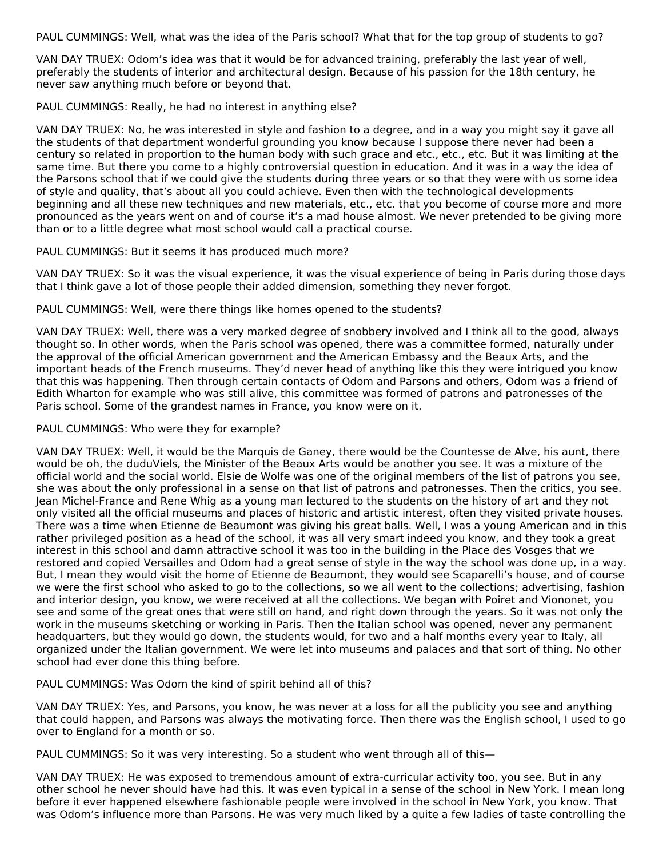PAUL CUMMINGS: Well, what was the idea of the Paris school? What that for the top group of students to go?

VAN DAY TRUEX: Odom's idea was that it would be for advanced training, preferably the last year of well, preferably the students of interior and architectural design. Because of his passion for the 18th century, he never saw anything much before or beyond that.

PAUL CUMMINGS: Really, he had no interest in anything else?

VAN DAY TRUEX: No, he was interested in style and fashion to a degree, and in a way you might say it gave all the students of that department wonderful grounding you know because I suppose there never had been a century so related in proportion to the human body with such grace and etc., etc., etc. But it was limiting at the same time. But there you come to a highly controversial question in education. And it was in a way the idea of the Parsons school that if we could give the students during three years or so that they were with us some idea of style and quality, that's about all you could achieve. Even then with the technological developments beginning and all these new techniques and new materials, etc., etc. that you become of course more and more pronounced as the years went on and of course it's a mad house almost. We never pretended to be giving more than or to a little degree what most school would call a practical course.

PAUL CUMMINGS: But it seems it has produced much more?

VAN DAY TRUEX: So it was the visual experience, it was the visual experience of being in Paris during those days that I think gave a lot of those people their added dimension, something they never forgot.

PAUL CUMMINGS: Well, were there things like homes opened to the students?

VAN DAY TRUEX: Well, there was a very marked degree of snobbery involved and I think all to the good, always thought so. In other words, when the Paris school was opened, there was a committee formed, naturally under the approval of the official American government and the American Embassy and the Beaux Arts, and the important heads of the French museums. They'd never head of anything like this they were intrigued you know that this was happening. Then through certain contacts of Odom and Parsons and others, Odom was a friend of Edith Wharton for example who was still alive, this committee was formed of patrons and patronesses of the Paris school. Some of the grandest names in France, you know were on it.

#### PAUL CUMMINGS: Who were they for example?

VAN DAY TRUEX: Well, it would be the Marquis de Ganey, there would be the Countesse de Alve, his aunt, there would be oh, the duduViels, the Minister of the Beaux Arts would be another you see. It was a mixture of the official world and the social world. Elsie de Wolfe was one of the original members of the list of patrons you see, she was about the only professional in a sense on that list of patrons and patronesses. Then the critics, you see. Jean Michel-France and Rene Whig as a young man lectured to the students on the history of art and they not only visited all the official museums and places of historic and artistic interest, often they visited private houses. There was a time when Etienne de Beaumont was giving his great balls. Well, I was a young American and in this rather privileged position as a head of the school, it was all very smart indeed you know, and they took a great interest in this school and damn attractive school it was too in the building in the Place des Vosges that we restored and copied Versailles and Odom had a great sense of style in the way the school was done up, in a way. But, I mean they would visit the home of Etienne de Beaumont, they would see Scaparelli's house, and of course we were the first school who asked to go to the collections, so we all went to the collections; advertising, fashion and interior design, you know, we were received at all the collections. We began with Poiret and Viononet, you see and some of the great ones that were still on hand, and right down through the years. So it was not only the work in the museums sketching or working in Paris. Then the Italian school was opened, never any permanent headquarters, but they would go down, the students would, for two and a half months every year to Italy, all organized under the Italian government. We were let into museums and palaces and that sort of thing. No other school had ever done this thing before.

PAUL CUMMINGS: Was Odom the kind of spirit behind all of this?

VAN DAY TRUEX: Yes, and Parsons, you know, he was never at a loss for all the publicity you see and anything that could happen, and Parsons was always the motivating force. Then there was the English school, I used to go over to England for a month or so.

PAUL CUMMINGS: So it was very interesting. So a student who went through all of this—

VAN DAY TRUEX: He was exposed to tremendous amount of extra-curricular activity too, you see. But in any other school he never should have had this. It was even typical in a sense of the school in New York. I mean long before it ever happened elsewhere fashionable people were involved in the school in New York, you know. That was Odom's influence more than Parsons. He was very much liked by a quite a few ladies of taste controlling the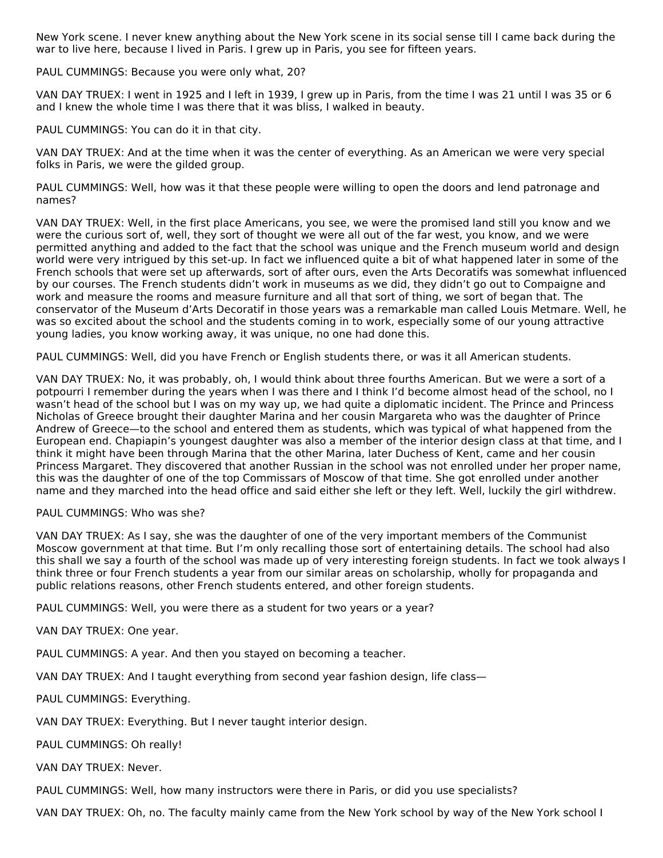New York scene. I never knew anything about the New York scene in its social sense till I came back during the war to live here, because I lived in Paris. I grew up in Paris, you see for fifteen years.

PAUL CUMMINGS: Because you were only what, 20?

VAN DAY TRUEX: I went in 1925 and I left in 1939, I grew up in Paris, from the time I was 21 until I was 35 or 6 and I knew the whole time I was there that it was bliss, I walked in beauty.

PAUL CUMMINGS: You can do it in that city.

VAN DAY TRUEX: And at the time when it was the center of everything. As an American we were very special folks in Paris, we were the gilded group.

PAUL CUMMINGS: Well, how was it that these people were willing to open the doors and lend patronage and names?

VAN DAY TRUEX: Well, in the first place Americans, you see, we were the promised land still you know and we were the curious sort of, well, they sort of thought we were all out of the far west, you know, and we were permitted anything and added to the fact that the school was unique and the French museum world and design world were very intrigued by this set-up. In fact we influenced quite a bit of what happened later in some of the French schools that were set up afterwards, sort of after ours, even the Arts Decoratifs was somewhat influenced by our courses. The French students didn't work in museums as we did, they didn't go out to Compaigne and work and measure the rooms and measure furniture and all that sort of thing, we sort of began that. The conservator of the Museum d'Arts Decoratif in those years was a remarkable man called Louis Metmare. Well, he was so excited about the school and the students coming in to work, especially some of our young attractive young ladies, you know working away, it was unique, no one had done this.

PAUL CUMMINGS: Well, did you have French or English students there, or was it all American students.

VAN DAY TRUEX: No, it was probably, oh, I would think about three fourths American. But we were a sort of a potpourri I remember during the years when I was there and I think I'd become almost head of the school, no I wasn't head of the school but I was on my way up, we had quite a diplomatic incident. The Prince and Princess Nicholas of Greece brought their daughter Marina and her cousin Margareta who was the daughter of Prince Andrew of Greece—to the school and entered them as students, which was typical of what happened from the European end. Chapiapin's youngest daughter was also a member of the interior design class at that time, and I think it might have been through Marina that the other Marina, later Duchess of Kent, came and her cousin Princess Margaret. They discovered that another Russian in the school was not enrolled under her proper name, this was the daughter of one of the top Commissars of Moscow of that time. She got enrolled under another name and they marched into the head office and said either she left or they left. Well, luckily the girl withdrew.

#### PAUL CUMMINGS: Who was she?

VAN DAY TRUEX: As I say, she was the daughter of one of the very important members of the Communist Moscow government at that time. But I'm only recalling those sort of entertaining details. The school had also this shall we say a fourth of the school was made up of very interesting foreign students. In fact we took always I think three or four French students a year from our similar areas on scholarship, wholly for propaganda and public relations reasons, other French students entered, and other foreign students.

PAUL CUMMINGS: Well, you were there as a student for two years or a year?

VAN DAY TRUEX: One year.

PAUL CUMMINGS: A year. And then you stayed on becoming a teacher.

VAN DAY TRUEX: And I taught everything from second year fashion design, life class—

PAUL CUMMINGS: Everything.

VAN DAY TRUEX: Everything. But I never taught interior design.

PAUL CUMMINGS: Oh really!

VAN DAY TRUEX: Never.

PAUL CUMMINGS: Well, how many instructors were there in Paris, or did you use specialists?

VAN DAY TRUEX: Oh, no. The faculty mainly came from the New York school by way of the New York school I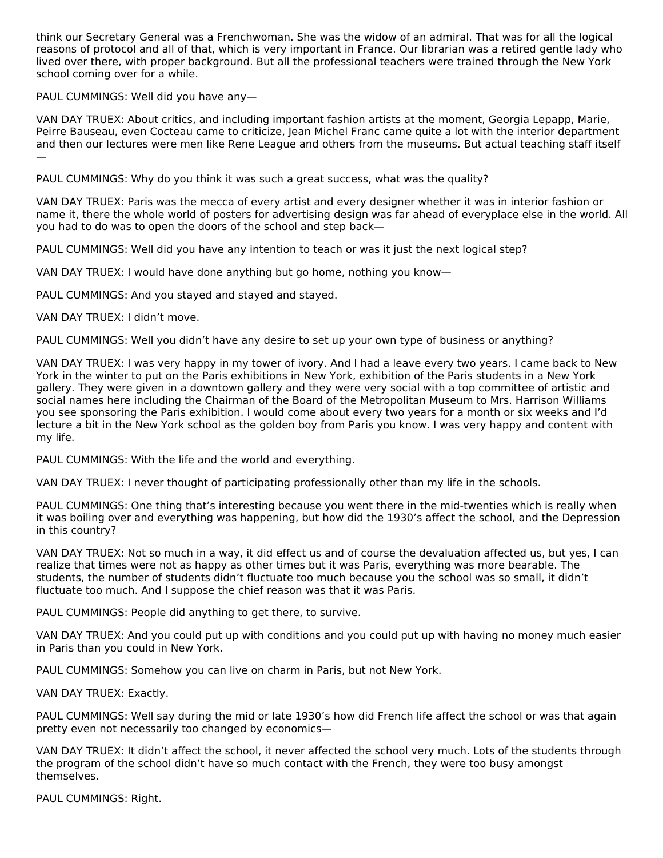think our Secretary General was a Frenchwoman. She was the widow of an admiral. That was for all the logical reasons of protocol and all of that, which is very important in France. Our librarian was a retired gentle lady who lived over there, with proper background. But all the professional teachers were trained through the New York school coming over for a while.

PAUL CUMMINGS: Well did you have any—

VAN DAY TRUEX: About critics, and including important fashion artists at the moment, Georgia Lepapp, Marie, Peirre Bauseau, even Cocteau came to criticize, Jean Michel Franc came quite a lot with the interior department and then our lectures were men like Rene League and others from the museums. But actual teaching staff itself —

PAUL CUMMINGS: Why do you think it was such a great success, what was the quality?

VAN DAY TRUEX: Paris was the mecca of every artist and every designer whether it was in interior fashion or name it, there the whole world of posters for advertising design was far ahead of everyplace else in the world. All you had to do was to open the doors of the school and step back—

PAUL CUMMINGS: Well did you have any intention to teach or was it just the next logical step?

VAN DAY TRUEX: I would have done anything but go home, nothing you know—

PAUL CUMMINGS: And you stayed and stayed and stayed.

VAN DAY TRUEX: I didn't move.

PAUL CUMMINGS: Well you didn't have any desire to set up your own type of business or anything?

VAN DAY TRUEX: I was very happy in my tower of ivory. And I had a leave every two years. I came back to New York in the winter to put on the Paris exhibitions in New York, exhibition of the Paris students in a New York gallery. They were given in a downtown gallery and they were very social with a top committee of artistic and social names here including the Chairman of the Board of the Metropolitan Museum to Mrs. Harrison Williams you see sponsoring the Paris exhibition. I would come about every two years for a month or six weeks and I'd lecture a bit in the New York school as the golden boy from Paris you know. I was very happy and content with my life.

PAUL CUMMINGS: With the life and the world and everything.

VAN DAY TRUEX: I never thought of participating professionally other than my life in the schools.

PAUL CUMMINGS: One thing that's interesting because you went there in the mid-twenties which is really when it was boiling over and everything was happening, but how did the 1930's affect the school, and the Depression in this country?

VAN DAY TRUEX: Not so much in a way, it did effect us and of course the devaluation affected us, but yes, I can realize that times were not as happy as other times but it was Paris, everything was more bearable. The students, the number of students didn't fluctuate too much because you the school was so small, it didn't fluctuate too much. And I suppose the chief reason was that it was Paris.

PAUL CUMMINGS: People did anything to get there, to survive.

VAN DAY TRUEX: And you could put up with conditions and you could put up with having no money much easier in Paris than you could in New York.

PAUL CUMMINGS: Somehow you can live on charm in Paris, but not New York.

VAN DAY TRUEX: Exactly.

PAUL CUMMINGS: Well say during the mid or late 1930's how did French life affect the school or was that again pretty even not necessarily too changed by economics—

VAN DAY TRUEX: It didn't affect the school, it never affected the school very much. Lots of the students through the program of the school didn't have so much contact with the French, they were too busy amongst themselves.

PAUL CUMMINGS: Right.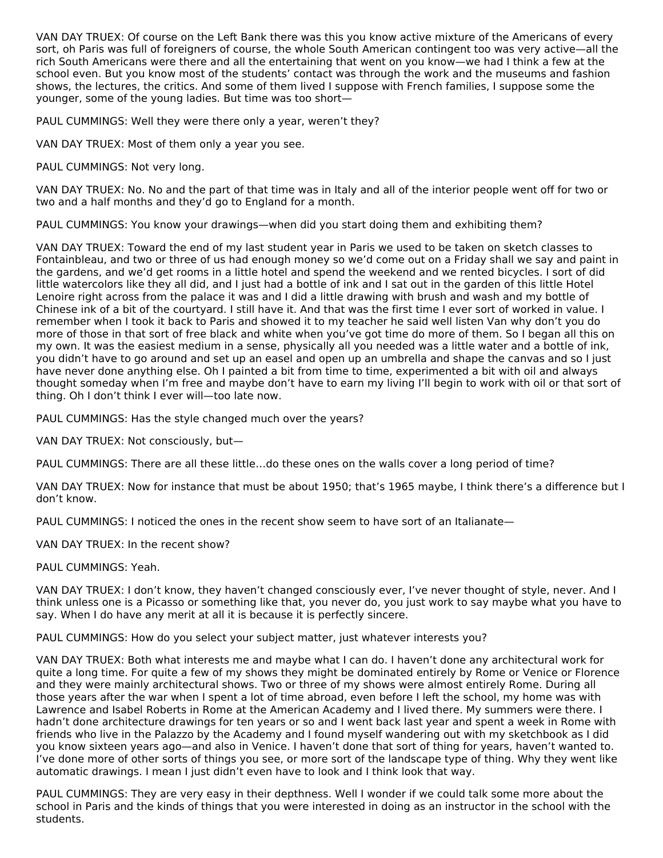VAN DAY TRUEX: Of course on the Left Bank there was this you know active mixture of the Americans of every sort, oh Paris was full of foreigners of course, the whole South American contingent too was very active—all the rich South Americans were there and all the entertaining that went on you know—we had I think a few at the school even. But you know most of the students' contact was through the work and the museums and fashion shows, the lectures, the critics. And some of them lived I suppose with French families, I suppose some the younger, some of the young ladies. But time was too short—

PAUL CUMMINGS: Well they were there only a year, weren't they?

VAN DAY TRUEX: Most of them only a year you see.

PAUL CUMMINGS: Not very long.

VAN DAY TRUEX: No. No and the part of that time was in Italy and all of the interior people went off for two or two and a half months and they'd go to England for a month.

PAUL CUMMINGS: You know your drawings—when did you start doing them and exhibiting them?

VAN DAY TRUEX: Toward the end of my last student year in Paris we used to be taken on sketch classes to Fontainbleau, and two or three of us had enough money so we'd come out on a Friday shall we say and paint in the gardens, and we'd get rooms in a little hotel and spend the weekend and we rented bicycles. I sort of did little watercolors like they all did, and I just had a bottle of ink and I sat out in the garden of this little Hotel Lenoire right across from the palace it was and I did a little drawing with brush and wash and my bottle of Chinese ink of a bit of the courtyard. I still have it. And that was the first time I ever sort of worked in value. I remember when I took it back to Paris and showed it to my teacher he said well listen Van why don't you do more of those in that sort of free black and white when you've got time do more of them. So I began all this on my own. It was the easiest medium in a sense, physically all you needed was a little water and a bottle of ink, you didn't have to go around and set up an easel and open up an umbrella and shape the canvas and so I just have never done anything else. Oh I painted a bit from time to time, experimented a bit with oil and always thought someday when I'm free and maybe don't have to earn my living I'll begin to work with oil or that sort of thing. Oh I don't think I ever will—too late now.

PAUL CUMMINGS: Has the style changed much over the years?

VAN DAY TRUEX: Not consciously, but—

PAUL CUMMINGS: There are all these little…do these ones on the walls cover a long period of time?

VAN DAY TRUEX: Now for instance that must be about 1950; that's 1965 maybe, I think there's a difference but I don't know.

PAUL CUMMINGS: I noticed the ones in the recent show seem to have sort of an Italianate—

VAN DAY TRUEX: In the recent show?

PAUL CUMMINGS: Yeah.

VAN DAY TRUEX: I don't know, they haven't changed consciously ever, I've never thought of style, never. And I think unless one is a Picasso or something like that, you never do, you just work to say maybe what you have to say. When I do have any merit at all it is because it is perfectly sincere.

PAUL CUMMINGS: How do you select your subject matter, just whatever interests you?

VAN DAY TRUEX: Both what interests me and maybe what I can do. I haven't done any architectural work for quite a long time. For quite a few of my shows they might be dominated entirely by Rome or Venice or Florence and they were mainly architectural shows. Two or three of my shows were almost entirely Rome. During all those years after the war when I spent a lot of time abroad, even before I left the school, my home was with Lawrence and Isabel Roberts in Rome at the American Academy and I lived there. My summers were there. I hadn't done architecture drawings for ten years or so and I went back last year and spent a week in Rome with friends who live in the Palazzo by the Academy and I found myself wandering out with my sketchbook as I did you know sixteen years ago—and also in Venice. I haven't done that sort of thing for years, haven't wanted to. I've done more of other sorts of things you see, or more sort of the landscape type of thing. Why they went like automatic drawings. I mean I just didn't even have to look and I think look that way.

PAUL CUMMINGS: They are very easy in their depthness. Well I wonder if we could talk some more about the school in Paris and the kinds of things that you were interested in doing as an instructor in the school with the students.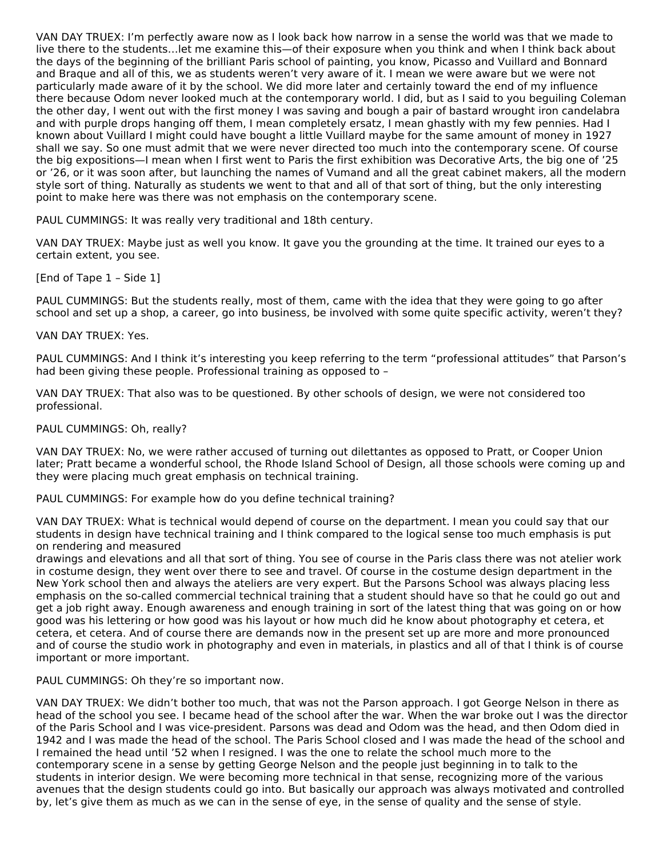VAN DAY TRUEX: I'm perfectly aware now as I look back how narrow in a sense the world was that we made to live there to the students…let me examine this—of their exposure when you think and when I think back about the days of the beginning of the brilliant Paris school of painting, you know, Picasso and Vuillard and Bonnard and Braque and all of this, we as students weren't very aware of it. I mean we were aware but we were not particularly made aware of it by the school. We did more later and certainly toward the end of my influence there because Odom never looked much at the contemporary world. I did, but as I said to you beguiling Coleman the other day, I went out with the first money I was saving and bough a pair of bastard wrought iron candelabra and with purple drops hanging off them, I mean completely ersatz, I mean ghastly with my few pennies. Had I known about Vuillard I might could have bought a little Vuillard maybe for the same amount of money in 1927 shall we say. So one must admit that we were never directed too much into the contemporary scene. Of course the big expositions—I mean when I first went to Paris the first exhibition was Decorative Arts, the big one of '25 or '26, or it was soon after, but launching the names of Vumand and all the great cabinet makers, all the modern style sort of thing. Naturally as students we went to that and all of that sort of thing, but the only interesting point to make here was there was not emphasis on the contemporary scene.

PAUL CUMMINGS: It was really very traditional and 18th century.

VAN DAY TRUEX: Maybe just as well you know. It gave you the grounding at the time. It trained our eyes to a certain extent, you see.

[End of Tape 1 – Side 1]

PAUL CUMMINGS: But the students really, most of them, came with the idea that they were going to go after school and set up a shop, a career, go into business, be involved with some quite specific activity, weren't they?

#### VAN DAY TRUEX: Yes.

PAUL CUMMINGS: And I think it's interesting you keep referring to the term "professional attitudes" that Parson's had been giving these people. Professional training as opposed to –

VAN DAY TRUEX: That also was to be questioned. By other schools of design, we were not considered too professional.

#### PAUL CUMMINGS: Oh, really?

VAN DAY TRUEX: No, we were rather accused of turning out dilettantes as opposed to Pratt, or Cooper Union later; Pratt became a wonderful school, the Rhode Island School of Design, all those schools were coming up and they were placing much great emphasis on technical training.

PAUL CUMMINGS: For example how do you define technical training?

VAN DAY TRUEX: What is technical would depend of course on the department. I mean you could say that our students in design have technical training and I think compared to the logical sense too much emphasis is put on rendering and measured

drawings and elevations and all that sort of thing. You see of course in the Paris class there was not atelier work in costume design, they went over there to see and travel. Of course in the costume design department in the New York school then and always the ateliers are very expert. But the Parsons School was always placing less emphasis on the so-called commercial technical training that a student should have so that he could go out and get a job right away. Enough awareness and enough training in sort of the latest thing that was going on or how good was his lettering or how good was his layout or how much did he know about photography et cetera, et cetera, et cetera. And of course there are demands now in the present set up are more and more pronounced and of course the studio work in photography and even in materials, in plastics and all of that I think is of course important or more important.

PAUL CUMMINGS: Oh they're so important now.

VAN DAY TRUEX: We didn't bother too much, that was not the Parson approach. I got George Nelson in there as head of the school you see. I became head of the school after the war. When the war broke out I was the director of the Paris School and I was vice-president. Parsons was dead and Odom was the head, and then Odom died in 1942 and I was made the head of the school. The Paris School closed and I was made the head of the school and I remained the head until '52 when I resigned. I was the one to relate the school much more to the contemporary scene in a sense by getting George Nelson and the people just beginning in to talk to the students in interior design. We were becoming more technical in that sense, recognizing more of the various avenues that the design students could go into. But basically our approach was always motivated and controlled by, let's give them as much as we can in the sense of eye, in the sense of quality and the sense of style.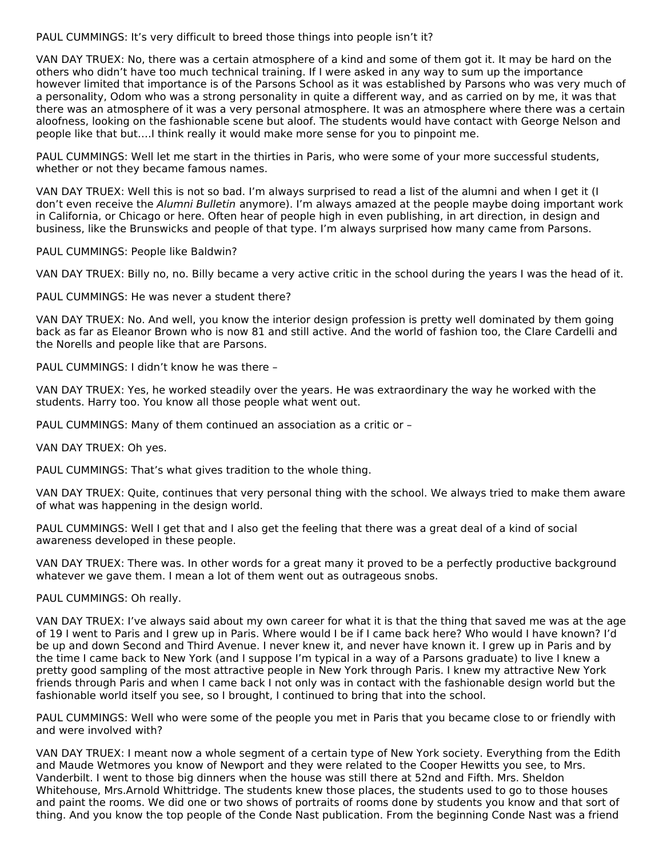PAUL CUMMINGS: It's very difficult to breed those things into people isn't it?

VAN DAY TRUEX: No, there was a certain atmosphere of a kind and some of them got it. It may be hard on the others who didn't have too much technical training. If I were asked in any way to sum up the importance however limited that importance is of the Parsons School as it was established by Parsons who was very much of a personality, Odom who was a strong personality in quite a different way, and as carried on by me, it was that there was an atmosphere of it was a very personal atmosphere. It was an atmosphere where there was a certain aloofness, looking on the fashionable scene but aloof. The students would have contact with George Nelson and people like that but….I think really it would make more sense for you to pinpoint me.

PAUL CUMMINGS: Well let me start in the thirties in Paris, who were some of your more successful students, whether or not they became famous names.

VAN DAY TRUEX: Well this is not so bad. I'm always surprised to read a list of the alumni and when I get it (I don't even receive the Alumni Bulletin anymore). I'm always amazed at the people maybe doing important work in California, or Chicago or here. Often hear of people high in even publishing, in art direction, in design and business, like the Brunswicks and people of that type. I'm always surprised how many came from Parsons.

PAUL CUMMINGS: People like Baldwin?

VAN DAY TRUEX: Billy no, no. Billy became a very active critic in the school during the years I was the head of it.

PAUL CUMMINGS: He was never a student there?

VAN DAY TRUEX: No. And well, you know the interior design profession is pretty well dominated by them going back as far as Eleanor Brown who is now 81 and still active. And the world of fashion too, the Clare Cardelli and the Norells and people like that are Parsons.

PAUL CUMMINGS: I didn't know he was there –

VAN DAY TRUEX: Yes, he worked steadily over the years. He was extraordinary the way he worked with the students. Harry too. You know all those people what went out.

PAUL CUMMINGS: Many of them continued an association as a critic or –

VAN DAY TRUEX: Oh yes.

PAUL CUMMINGS: That's what gives tradition to the whole thing.

VAN DAY TRUEX: Quite, continues that very personal thing with the school. We always tried to make them aware of what was happening in the design world.

PAUL CUMMINGS: Well I get that and I also get the feeling that there was a great deal of a kind of social awareness developed in these people.

VAN DAY TRUEX: There was. In other words for a great many it proved to be a perfectly productive background whatever we gave them. I mean a lot of them went out as outrageous snobs.

PAUL CUMMINGS: Oh really.

VAN DAY TRUEX: I've always said about my own career for what it is that the thing that saved me was at the age of 19 I went to Paris and I grew up in Paris. Where would I be if I came back here? Who would I have known? I'd be up and down Second and Third Avenue. I never knew it, and never have known it. I grew up in Paris and by the time I came back to New York (and I suppose I'm typical in a way of a Parsons graduate) to live I knew a pretty good sampling of the most attractive people in New York through Paris. I knew my attractive New York friends through Paris and when I came back I not only was in contact with the fashionable design world but the fashionable world itself you see, so I brought, I continued to bring that into the school.

PAUL CUMMINGS: Well who were some of the people you met in Paris that you became close to or friendly with and were involved with?

VAN DAY TRUEX: I meant now a whole segment of a certain type of New York society. Everything from the Edith and Maude Wetmores you know of Newport and they were related to the Cooper Hewitts you see, to Mrs. Vanderbilt. I went to those big dinners when the house was still there at 52nd and Fifth. Mrs. Sheldon Whitehouse, Mrs.Arnold Whittridge. The students knew those places, the students used to go to those houses and paint the rooms. We did one or two shows of portraits of rooms done by students you know and that sort of thing. And you know the top people of the Conde Nast publication. From the beginning Conde Nast was a friend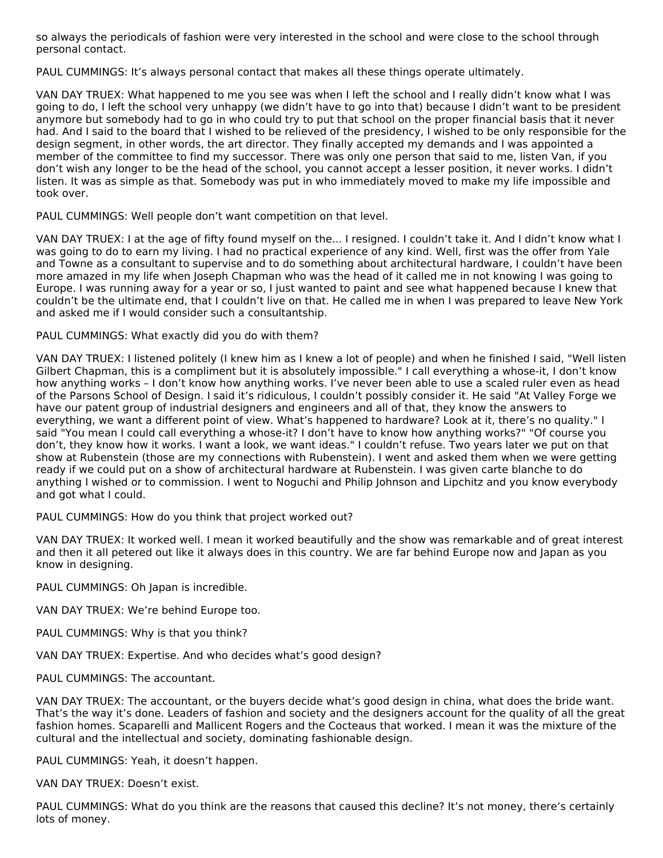so always the periodicals of fashion were very interested in the school and were close to the school through personal contact.

PAUL CUMMINGS: It's always personal contact that makes all these things operate ultimately.

VAN DAY TRUEX: What happened to me you see was when I left the school and I really didn't know what I was going to do, I left the school very unhappy (we didn't have to go into that) because I didn't want to be president anymore but somebody had to go in who could try to put that school on the proper financial basis that it never had. And I said to the board that I wished to be relieved of the presidency, I wished to be only responsible for the design segment, in other words, the art director. They finally accepted my demands and I was appointed a member of the committee to find my successor. There was only one person that said to me, listen Van, if you don't wish any longer to be the head of the school, you cannot accept a lesser position, it never works. I didn't listen. It was as simple as that. Somebody was put in who immediately moved to make my life impossible and took over.

PAUL CUMMINGS: Well people don't want competition on that level.

VAN DAY TRUEX: I at the age of fifty found myself on the... I resigned. I couldn't take it. And I didn't know what I was going to do to earn my living. I had no practical experience of any kind. Well, first was the offer from Yale and Towne as a consultant to supervise and to do something about architectural hardware, I couldn't have been more amazed in my life when Joseph Chapman who was the head of it called me in not knowing I was going to Europe. I was running away for a year or so, I just wanted to paint and see what happened because I knew that couldn't be the ultimate end, that I couldn't live on that. He called me in when I was prepared to leave New York and asked me if I would consider such a consultantship.

PAUL CUMMINGS: What exactly did you do with them?

VAN DAY TRUEX: I listened politely (I knew him as I knew a lot of people) and when he finished I said, "Well listen Gilbert Chapman, this is a compliment but it is absolutely impossible." I call everything a whose-it, I don't know how anything works – I don't know how anything works. I've never been able to use a scaled ruler even as head of the Parsons School of Design. I said it's ridiculous, I couldn't possibly consider it. He said "At Valley Forge we have our patent group of industrial designers and engineers and all of that, they know the answers to everything, we want a different point of view. What's happened to hardware? Look at it, there's no quality." I said "You mean I could call everything a whose-it? I don't have to know how anything works?" "Of course you don't, they know how it works. I want a look, we want ideas." I couldn't refuse. Two years later we put on that show at Rubenstein (those are my connections with Rubenstein). I went and asked them when we were getting ready if we could put on a show of architectural hardware at Rubenstein. I was given carte blanche to do anything I wished or to commission. I went to Noguchi and Philip Johnson and Lipchitz and you know everybody and got what I could.

PAUL CUMMINGS: How do you think that project worked out?

VAN DAY TRUEX: It worked well. I mean it worked beautifully and the show was remarkable and of great interest and then it all petered out like it always does in this country. We are far behind Europe now and Japan as you know in designing.

PAUL CUMMINGS: Oh Japan is incredible.

VAN DAY TRUEX: We're behind Europe too.

PAUL CUMMINGS: Why is that you think?

VAN DAY TRUEX: Expertise. And who decides what's good design?

PAUL CUMMINGS: The accountant.

VAN DAY TRUEX: The accountant, or the buyers decide what's good design in china, what does the bride want. That's the way it's done. Leaders of fashion and society and the designers account for the quality of all the great fashion homes. Scaparelli and Mallicent Rogers and the Cocteaus that worked. I mean it was the mixture of the cultural and the intellectual and society, dominating fashionable design.

PAUL CUMMINGS: Yeah, it doesn't happen.

VAN DAY TRUEX: Doesn't exist.

PAUL CUMMINGS: What do you think are the reasons that caused this decline? It's not money, there's certainly lots of money.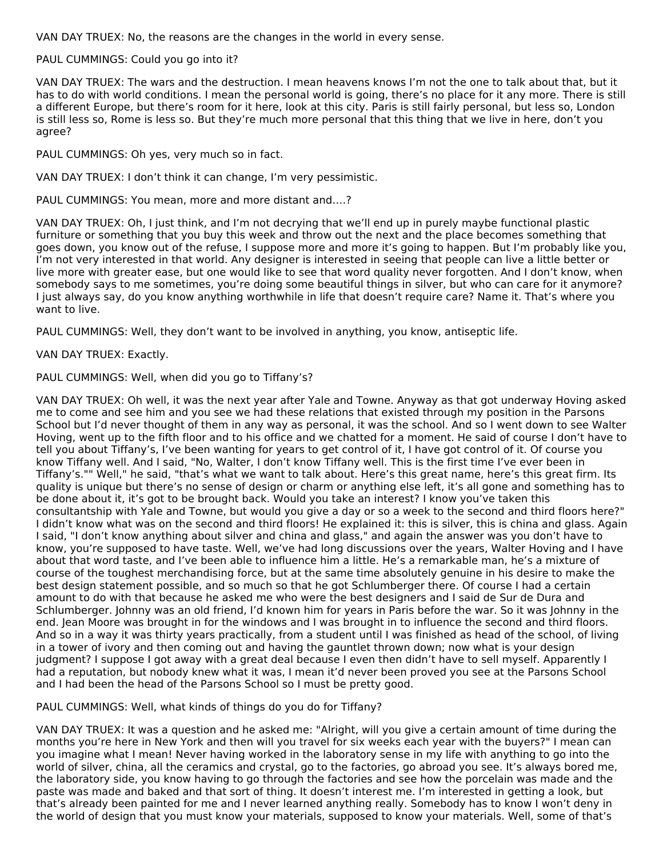VAN DAY TRUEX: No, the reasons are the changes in the world in every sense.

#### PAUL CUMMINGS: Could you go into it?

VAN DAY TRUEX: The wars and the destruction. I mean heavens knows I'm not the one to talk about that, but it has to do with world conditions. I mean the personal world is going, there's no place for it any more. There is still a different Europe, but there's room for it here, look at this city. Paris is still fairly personal, but less so, London is still less so, Rome is less so. But they're much more personal that this thing that we live in here, don't you agree?

PAUL CUMMINGS: Oh yes, very much so in fact.

VAN DAY TRUEX: I don't think it can change, I'm very pessimistic.

PAUL CUMMINGS: You mean, more and more distant and….?

VAN DAY TRUEX: Oh, I just think, and I'm not decrying that we'll end up in purely maybe functional plastic furniture or something that you buy this week and throw out the next and the place becomes something that goes down, you know out of the refuse, I suppose more and more it's going to happen. But I'm probably like you, I'm not very interested in that world. Any designer is interested in seeing that people can live a little better or live more with greater ease, but one would like to see that word quality never forgotten. And I don't know, when somebody says to me sometimes, you're doing some beautiful things in silver, but who can care for it anymore? I just always say, do you know anything worthwhile in life that doesn't require care? Name it. That's where you want to live.

PAUL CUMMINGS: Well, they don't want to be involved in anything, you know, antiseptic life.

#### VAN DAY TRUEX: Exactly.

#### PAUL CUMMINGS: Well, when did you go to Tiffany's?

VAN DAY TRUEX: Oh well, it was the next year after Yale and Towne. Anyway as that got underway Hoving asked me to come and see him and you see we had these relations that existed through my position in the Parsons School but I'd never thought of them in any way as personal, it was the school. And so I went down to see Walter Hoving, went up to the fifth floor and to his office and we chatted for a moment. He said of course I don't have to tell you about Tiffany's, I've been wanting for years to get control of it, I have got control of it. Of course you know Tiffany well. And I said, "No, Walter, I don't know Tiffany well. This is the first time I've ever been in Tiffany's."" Well," he said, "that's what we want to talk about. Here's this great name, here's this great firm. Its quality is unique but there's no sense of design or charm or anything else left, it's all gone and something has to be done about it, it's got to be brought back. Would you take an interest? I know you've taken this consultantship with Yale and Towne, but would you give a day or so a week to the second and third floors here?" I didn't know what was on the second and third floors! He explained it: this is silver, this is china and glass. Again I said, "I don't know anything about silver and china and glass," and again the answer was you don't have to know, you're supposed to have taste. Well, we've had long discussions over the years, Walter Hoving and I have about that word taste, and I've been able to influence him a little. He's a remarkable man, he's a mixture of course of the toughest merchandising force, but at the same time absolutely genuine in his desire to make the best design statement possible, and so much so that he got Schlumberger there. Of course I had a certain amount to do with that because he asked me who were the best designers and I said de Sur de Dura and Schlumberger. Johnny was an old friend, I'd known him for years in Paris before the war. So it was Johnny in the end. Jean Moore was brought in for the windows and I was brought in to influence the second and third floors. And so in a way it was thirty years practically, from a student until I was finished as head of the school, of living in a tower of ivory and then coming out and having the gauntlet thrown down; now what is your design judgment? I suppose I got away with a great deal because I even then didn't have to sell myself. Apparently I had a reputation, but nobody knew what it was, I mean it'd never been proved you see at the Parsons School and I had been the head of the Parsons School so I must be pretty good.

#### PAUL CUMMINGS: Well, what kinds of things do you do for Tiffany?

VAN DAY TRUEX: It was a question and he asked me: "Alright, will you give a certain amount of time during the months you're here in New York and then will you travel for six weeks each year with the buyers?" I mean can you imagine what I mean! Never having worked in the laboratory sense in my life with anything to go into the world of silver, china, all the ceramics and crystal, go to the factories, go abroad you see. It's always bored me, the laboratory side, you know having to go through the factories and see how the porcelain was made and the paste was made and baked and that sort of thing. It doesn't interest me. I'm interested in getting a look, but that's already been painted for me and I never learned anything really. Somebody has to know I won't deny in the world of design that you must know your materials, supposed to know your materials. Well, some of that's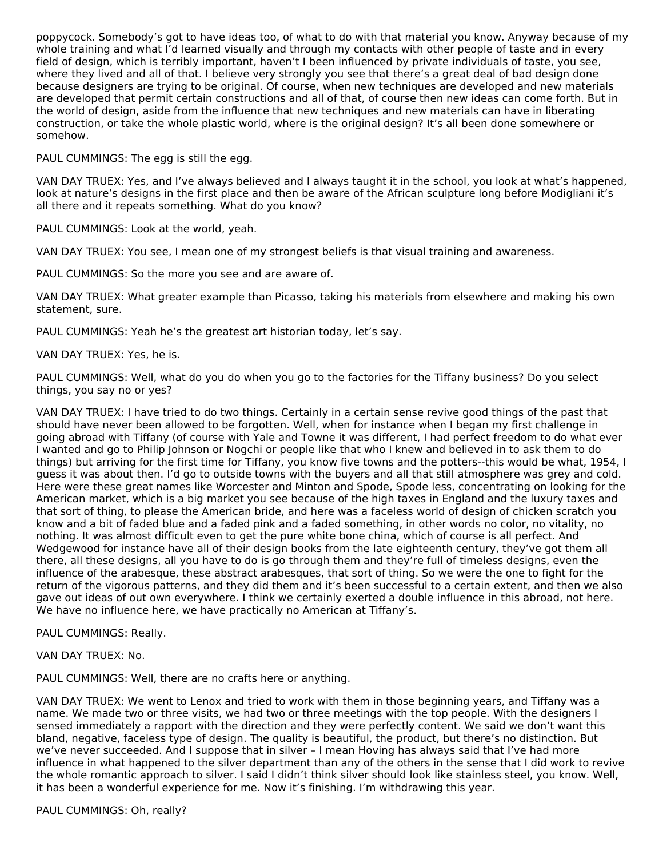poppycock. Somebody's got to have ideas too, of what to do with that material you know. Anyway because of my whole training and what I'd learned visually and through my contacts with other people of taste and in every field of design, which is terribly important, haven't I been influenced by private individuals of taste, you see, where they lived and all of that. I believe very strongly you see that there's a great deal of bad design done because designers are trying to be original. Of course, when new techniques are developed and new materials are developed that permit certain constructions and all of that, of course then new ideas can come forth. But in the world of design, aside from the influence that new techniques and new materials can have in liberating construction, or take the whole plastic world, where is the original design? It's all been done somewhere or somehow.

PAUL CUMMINGS: The egg is still the egg.

VAN DAY TRUEX: Yes, and I've always believed and I always taught it in the school, you look at what's happened, look at nature's designs in the first place and then be aware of the African sculpture long before Modigliani it's all there and it repeats something. What do you know?

PAUL CUMMINGS: Look at the world, yeah.

VAN DAY TRUEX: You see, I mean one of my strongest beliefs is that visual training and awareness.

PAUL CUMMINGS: So the more you see and are aware of.

VAN DAY TRUEX: What greater example than Picasso, taking his materials from elsewhere and making his own statement, sure.

PAUL CUMMINGS: Yeah he's the greatest art historian today, let's say.

#### VAN DAY TRUEX: Yes, he is.

PAUL CUMMINGS: Well, what do you do when you go to the factories for the Tiffany business? Do you select things, you say no or yes?

VAN DAY TRUEX: I have tried to do two things. Certainly in a certain sense revive good things of the past that should have never been allowed to be forgotten. Well, when for instance when I began my first challenge in going abroad with Tiffany (of course with Yale and Towne it was different, I had perfect freedom to do what ever I wanted and go to Philip Johnson or Nogchi or people like that who I knew and believed in to ask them to do things) but arriving for the first time for Tiffany, you know five towns and the potters--this would be what, 1954, I guess it was about then. I'd go to outside towns with the buyers and all that still atmosphere was grey and cold. Here were these great names like Worcester and Minton and Spode, Spode less, concentrating on looking for the American market, which is a big market you see because of the high taxes in England and the luxury taxes and that sort of thing, to please the American bride, and here was a faceless world of design of chicken scratch you know and a bit of faded blue and a faded pink and a faded something, in other words no color, no vitality, no nothing. It was almost difficult even to get the pure white bone china, which of course is all perfect. And Wedgewood for instance have all of their design books from the late eighteenth century, they've got them all there, all these designs, all you have to do is go through them and they're full of timeless designs, even the influence of the arabesque, these abstract arabesques, that sort of thing. So we were the one to fight for the return of the vigorous patterns, and they did them and it's been successful to a certain extent, and then we also gave out ideas of out own everywhere. I think we certainly exerted a double influence in this abroad, not here. We have no influence here, we have practically no American at Tiffany's.

PAUL CUMMINGS: Really.

VAN DAY TRUEX: No.

PAUL CUMMINGS: Well, there are no crafts here or anything.

VAN DAY TRUEX: We went to Lenox and tried to work with them in those beginning years, and Tiffany was a name. We made two or three visits, we had two or three meetings with the top people. With the designers I sensed immediately a rapport with the direction and they were perfectly content. We said we don't want this bland, negative, faceless type of design. The quality is beautiful, the product, but there's no distinction. But we've never succeeded. And I suppose that in silver – I mean Hoving has always said that I've had more influence in what happened to the silver department than any of the others in the sense that I did work to revive the whole romantic approach to silver. I said I didn't think silver should look like stainless steel, you know. Well, it has been a wonderful experience for me. Now it's finishing. I'm withdrawing this year.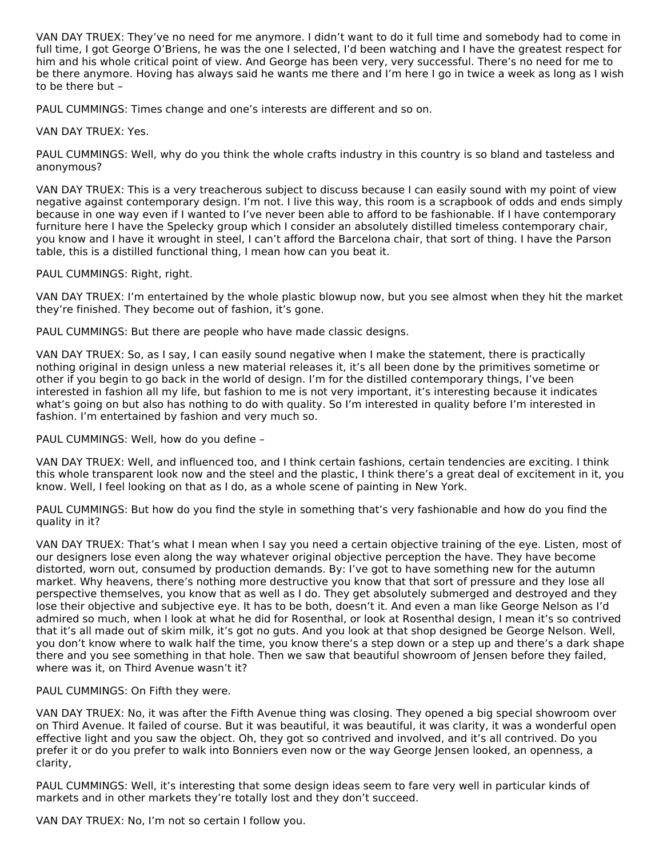VAN DAY TRUEX: They've no need for me anymore. I didn't want to do it full time and somebody had to come in full time, I got George O'Briens, he was the one I selected, I'd been watching and I have the greatest respect for him and his whole critical point of view. And George has been very, very successful. There's no need for me to be there anymore. Hoving has always said he wants me there and I'm here I go in twice a week as long as I wish to be there but –

PAUL CUMMINGS: Times change and one's interests are different and so on.

VAN DAY TRUEX: Yes.

PAUL CUMMINGS: Well, why do you think the whole crafts industry in this country is so bland and tasteless and anonymous?

VAN DAY TRUEX: This is a very treacherous subject to discuss because I can easily sound with my point of view negative against contemporary design. I'm not. I live this way, this room is a scrapbook of odds and ends simply because in one way even if I wanted to I've never been able to afford to be fashionable. If I have contemporary furniture here I have the Spelecky group which I consider an absolutely distilled timeless contemporary chair, you know and I have it wrought in steel, I can't afford the Barcelona chair, that sort of thing. I have the Parson table, this is a distilled functional thing, I mean how can you beat it.

PAUL CUMMINGS: Right, right.

VAN DAY TRUEX: I'm entertained by the whole plastic blowup now, but you see almost when they hit the market they're finished. They become out of fashion, it's gone.

PAUL CUMMINGS: But there are people who have made classic designs.

VAN DAY TRUEX: So, as I say, I can easily sound negative when I make the statement, there is practically nothing original in design unless a new material releases it, it's all been done by the primitives sometime or other if you begin to go back in the world of design. I'm for the distilled contemporary things, I've been interested in fashion all my life, but fashion to me is not very important, it's interesting because it indicates what's going on but also has nothing to do with quality. So I'm interested in quality before I'm interested in fashion. I'm entertained by fashion and very much so.

PAUL CUMMINGS: Well, how do you define –

VAN DAY TRUEX: Well, and influenced too, and I think certain fashions, certain tendencies are exciting. I think this whole transparent look now and the steel and the plastic, I think there's a great deal of excitement in it, you know. Well, I feel looking on that as I do, as a whole scene of painting in New York.

PAUL CUMMINGS: But how do you find the style in something that's very fashionable and how do you find the quality in it?

VAN DAY TRUEX: That's what I mean when I say you need a certain objective training of the eye. Listen, most of our designers lose even along the way whatever original objective perception the have. They have become distorted, worn out, consumed by production demands. By: I've got to have something new for the autumn market. Why heavens, there's nothing more destructive you know that that sort of pressure and they lose all perspective themselves, you know that as well as I do. They get absolutely submerged and destroyed and they lose their objective and subjective eye. It has to be both, doesn't it. And even a man like George Nelson as I'd admired so much, when I look at what he did for Rosenthal, or look at Rosenthal design, I mean it's so contrived that it's all made out of skim milk, it's got no guts. And you look at that shop designed be George Nelson. Well, you don't know where to walk half the time, you know there's a step down or a step up and there's a dark shape there and you see something in that hole. Then we saw that beautiful showroom of Jensen before they failed, where was it, on Third Avenue wasn't it?

PAUL CUMMINGS: On Fifth they were.

VAN DAY TRUEX: No, it was after the Fifth Avenue thing was closing. They opened a big special showroom over on Third Avenue. It failed of course. But it was beautiful, it was beautiful, it was clarity, it was a wonderful open effective light and you saw the object. Oh, they got so contrived and involved, and it's all contrived. Do you prefer it or do you prefer to walk into Bonniers even now or the way George Jensen looked, an openness, a clarity,

PAUL CUMMINGS: Well, it's interesting that some design ideas seem to fare very well in particular kinds of markets and in other markets they're totally lost and they don't succeed.

VAN DAY TRUEX: No, I'm not so certain I follow you.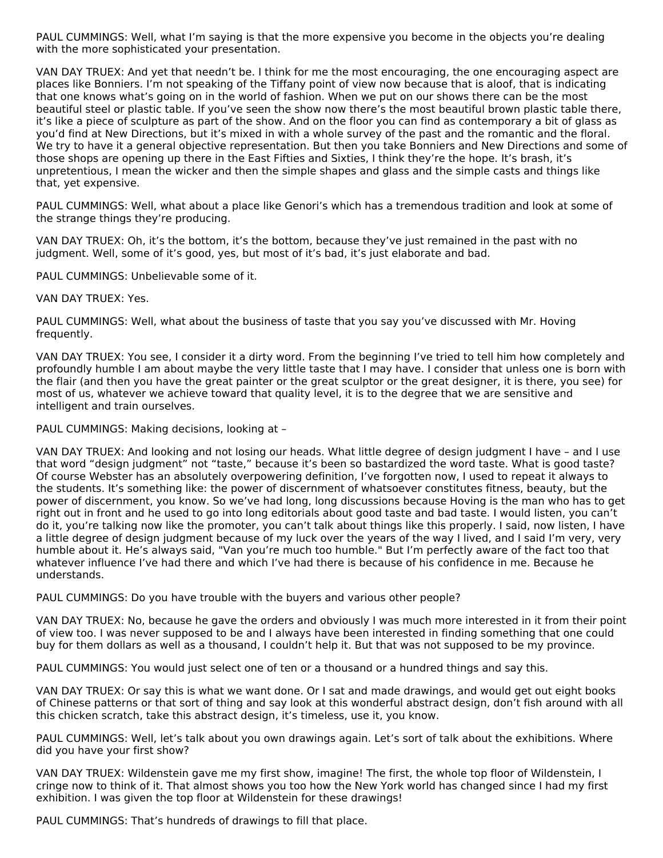PAUL CUMMINGS: Well, what I'm saying is that the more expensive you become in the objects you're dealing with the more sophisticated your presentation.

VAN DAY TRUEX: And yet that needn't be. I think for me the most encouraging, the one encouraging aspect are places like Bonniers. I'm not speaking of the Tiffany point of view now because that is aloof, that is indicating that one knows what's going on in the world of fashion. When we put on our shows there can be the most beautiful steel or plastic table. If you've seen the show now there's the most beautiful brown plastic table there, it's like a piece of sculpture as part of the show. And on the floor you can find as contemporary a bit of glass as you'd find at New Directions, but it's mixed in with a whole survey of the past and the romantic and the floral. We try to have it a general objective representation. But then you take Bonniers and New Directions and some of those shops are opening up there in the East Fifties and Sixties, I think they're the hope. It's brash, it's unpretentious, I mean the wicker and then the simple shapes and glass and the simple casts and things like that, yet expensive.

PAUL CUMMINGS: Well, what about a place like Genori's which has a tremendous tradition and look at some of the strange things they're producing.

VAN DAY TRUEX: Oh, it's the bottom, it's the bottom, because they've just remained in the past with no judgment. Well, some of it's good, yes, but most of it's bad, it's just elaborate and bad.

PAUL CUMMINGS: Unbelievable some of it.

VAN DAY TRUEX: Yes.

PAUL CUMMINGS: Well, what about the business of taste that you say you've discussed with Mr. Hoving frequently.

VAN DAY TRUEX: You see, I consider it a dirty word. From the beginning I've tried to tell him how completely and profoundly humble I am about maybe the very little taste that I may have. I consider that unless one is born with the flair (and then you have the great painter or the great sculptor or the great designer, it is there, you see) for most of us, whatever we achieve toward that quality level, it is to the degree that we are sensitive and intelligent and train ourselves.

PAUL CUMMINGS: Making decisions, looking at –

VAN DAY TRUEX: And looking and not losing our heads. What little degree of design judgment I have – and I use that word "design judgment" not "taste," because it's been so bastardized the word taste. What is good taste? Of course Webster has an absolutely overpowering definition, I've forgotten now, I used to repeat it always to the students. It's something like: the power of discernment of whatsoever constitutes fitness, beauty, but the power of discernment, you know. So we've had long, long discussions because Hoving is the man who has to get right out in front and he used to go into long editorials about good taste and bad taste. I would listen, you can't do it, you're talking now like the promoter, you can't talk about things like this properly. I said, now listen, I have a little degree of design judgment because of my luck over the years of the way I lived, and I said I'm very, very humble about it. He's always said, "Van you're much too humble." But I'm perfectly aware of the fact too that whatever influence I've had there and which I've had there is because of his confidence in me. Because he understands.

PAUL CUMMINGS: Do you have trouble with the buyers and various other people?

VAN DAY TRUEX: No, because he gave the orders and obviously I was much more interested in it from their point of view too. I was never supposed to be and I always have been interested in finding something that one could buy for them dollars as well as a thousand, I couldn't help it. But that was not supposed to be my province.

PAUL CUMMINGS: You would just select one of ten or a thousand or a hundred things and say this.

VAN DAY TRUEX: Or say this is what we want done. Or I sat and made drawings, and would get out eight books of Chinese patterns or that sort of thing and say look at this wonderful abstract design, don't fish around with all this chicken scratch, take this abstract design, it's timeless, use it, you know.

PAUL CUMMINGS: Well, let's talk about you own drawings again. Let's sort of talk about the exhibitions. Where did you have your first show?

VAN DAY TRUEX: Wildenstein gave me my first show, imagine! The first, the whole top floor of Wildenstein, I cringe now to think of it. That almost shows you too how the New York world has changed since I had my first exhibition. I was given the top floor at Wildenstein for these drawings!

PAUL CUMMINGS: That's hundreds of drawings to fill that place.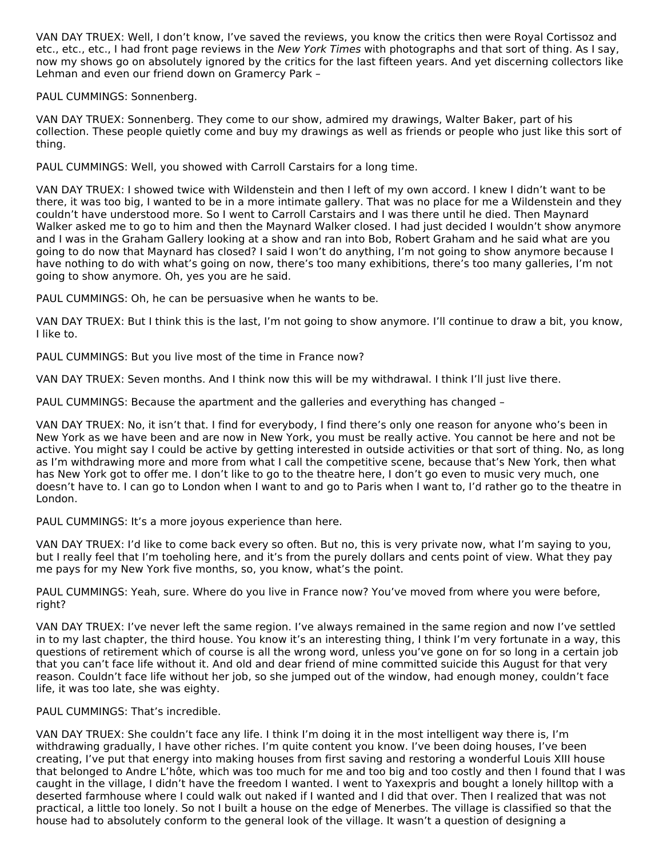VAN DAY TRUEX: Well, I don't know, I've saved the reviews, you know the critics then were Royal Cortissoz and etc., etc., etc., I had front page reviews in the New York Times with photographs and that sort of thing. As I say, now my shows go on absolutely ignored by the critics for the last fifteen years. And yet discerning collectors like Lehman and even our friend down on Gramercy Park –

PAUL CUMMINGS: Sonnenberg.

VAN DAY TRUEX: Sonnenberg. They come to our show, admired my drawings, Walter Baker, part of his collection. These people quietly come and buy my drawings as well as friends or people who just like this sort of thing.

PAUL CUMMINGS: Well, you showed with Carroll Carstairs for a long time.

VAN DAY TRUEX: I showed twice with Wildenstein and then I left of my own accord. I knew I didn't want to be there, it was too big, I wanted to be in a more intimate gallery. That was no place for me a Wildenstein and they couldn't have understood more. So I went to Carroll Carstairs and I was there until he died. Then Maynard Walker asked me to go to him and then the Maynard Walker closed. I had just decided I wouldn't show anymore and I was in the Graham Gallery looking at a show and ran into Bob, Robert Graham and he said what are you going to do now that Maynard has closed? I said I won't do anything, I'm not going to show anymore because I have nothing to do with what's going on now, there's too many exhibitions, there's too many galleries, I'm not going to show anymore. Oh, yes you are he said.

PAUL CUMMINGS: Oh, he can be persuasive when he wants to be.

VAN DAY TRUEX: But I think this is the last, I'm not going to show anymore. I'll continue to draw a bit, you know, I like to.

PAUL CUMMINGS: But you live most of the time in France now?

VAN DAY TRUEX: Seven months. And I think now this will be my withdrawal. I think I'll just live there.

PAUL CUMMINGS: Because the apartment and the galleries and everything has changed –

VAN DAY TRUEX: No, it isn't that. I find for everybody, I find there's only one reason for anyone who's been in New York as we have been and are now in New York, you must be really active. You cannot be here and not be active. You might say I could be active by getting interested in outside activities or that sort of thing. No, as long as I'm withdrawing more and more from what I call the competitive scene, because that's New York, then what has New York got to offer me. I don't like to go to the theatre here, I don't go even to music very much, one doesn't have to. I can go to London when I want to and go to Paris when I want to, I'd rather go to the theatre in London.

PAUL CUMMINGS: It's a more joyous experience than here.

VAN DAY TRUEX: I'd like to come back every so often. But no, this is very private now, what I'm saying to you, but I really feel that I'm toeholing here, and it's from the purely dollars and cents point of view. What they pay me pays for my New York five months, so, you know, what's the point.

PAUL CUMMINGS: Yeah, sure. Where do you live in France now? You've moved from where you were before, right?

VAN DAY TRUEX: I've never left the same region. I've always remained in the same region and now I've settled in to my last chapter, the third house. You know it's an interesting thing, I think I'm very fortunate in a way, this questions of retirement which of course is all the wrong word, unless you've gone on for so long in a certain job that you can't face life without it. And old and dear friend of mine committed suicide this August for that very reason. Couldn't face life without her job, so she jumped out of the window, had enough money, couldn't face life, it was too late, she was eighty.

PAUL CUMMINGS: That's incredible.

VAN DAY TRUEX: She couldn't face any life. I think I'm doing it in the most intelligent way there is, I'm withdrawing gradually, I have other riches. I'm quite content you know. I've been doing houses, I've been creating, I've put that energy into making houses from first saving and restoring a wonderful Louis XIII house that belonged to Andre L'hôte, which was too much for me and too big and too costly and then I found that I was caught in the village, I didn't have the freedom I wanted. I went to Yaxexpris and bought a lonely hilltop with a deserted farmhouse where I could walk out naked if I wanted and I did that over. Then I realized that was not practical, a little too lonely. So not I built a house on the edge of Menerbes. The village is classified so that the house had to absolutely conform to the general look of the village. It wasn't a question of designing a